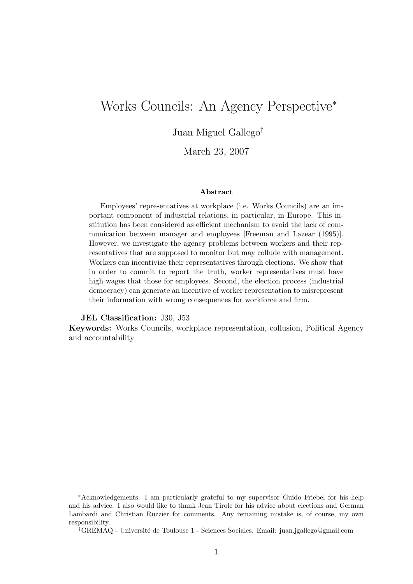# Works Councils: An Agency Perspective<sup>∗</sup>

Juan Miguel Gallego†

March 23, 2007

#### Abstract

Employees' representatives at workplace (i.e. Works Councils) are an important component of industrial relations, in particular, in Europe. This institution has been considered as efficient mechanism to avoid the lack of communication between manager and employees [Freeman and Lazear (1995)]. However, we investigate the agency problems between workers and their representatives that are supposed to monitor but may collude with management. Workers can incentivize their representatives through elections. We show that in order to commit to report the truth, worker representatives must have high wages that those for employees. Second, the election process (industrial democracy) can generate an incentive of worker representation to misrepresent their information with wrong consequences for workforce and firm.

JEL Classification: J30, J53

Keywords: Works Councils, workplace representation, collusion, Political Agency and accountability

<sup>∗</sup>Acknowledgements: I am particularly grateful to my supervisor Guido Friebel for his help and his advice. I also would like to thank Jean Tirole for his advice about elections and German Lambardi and Christian Ruzzier for comments. Any remaining mistake is, of course, my own responsibility.

<sup>†</sup>GREMAQ - Universit´e de Toulouse 1 - Sciences Sociales. Email: juan.jgallego@gmail.com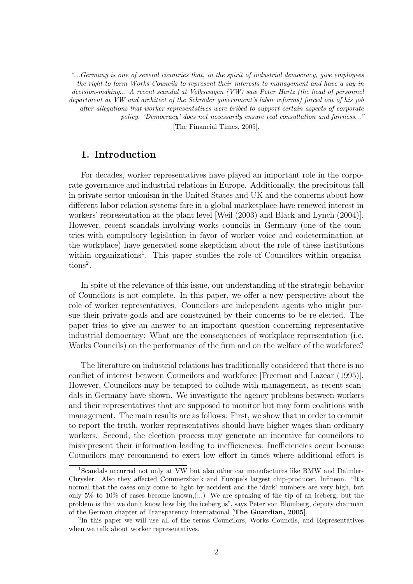"...Germany is one of several countries that, in the spirit of industrial democracy, give employees the right to form Works Councils to represent their interests to management and have a say in decision-making... A recent scandal at Volkswagen (VW) saw Peter Hartz (the head of personnel department at VW and architect of the Schröder government's labor reforms) forced out of his job after allegations that worker representatives were bribed to support certain aspects of corporate policy. 'Democracy' does not necessarily ensure real consultation and fairness..." [The Financial Times, 2005].

## 1. Introduction

For decades, worker representatives have played an important role in the corporate governance and industrial relations in Europe. Additionally, the precipitous fall in private sector unionism in the United States and UK and the concerns about how different labor relation systems fare in a global marketplace have renewed interest in workers' representation at the plant level [Weil (2003) and Black and Lynch (2004)]. However, recent scandals involving works councils in Germany (one of the countries with compulsory legislation in favor of worker voice and codetermination at the workplace) have generated some skepticism about the role of these institutions within organizations<sup>1</sup>. This paper studies the role of Councilors within organizations<sup>2</sup>.

In spite of the relevance of this issue, our understanding of the strategic behavior of Councilors is not complete. In this paper, we offer a new perspective about the role of worker representatives. Councilors are independent agents who might pursue their private goals and are constrained by their concerns to be re-elected. The paper tries to give an answer to an important question concerning representative industrial democracy: What are the consequences of workplace representation (i.e. Works Councils) on the performance of the firm and on the welfare of the workforce?

The literature on industrial relations has traditionally considered that there is no conflict of interest between Councilors and workforce [Freeman and Lazear (1995)]. However, Councilors may be tempted to collude with management, as recent scandals in Germany have shown. We investigate the agency problems between workers and their representatives that are supposed to monitor but may form coalitions with management. The main results are as follows: First, we show that in order to commit to report the truth, worker representatives should have higher wages than ordinary workers. Second, the election process may generate an incentive for councilors to misrepresent their information leading to inefficiencies. Inefficiencies occur because Councilors may recommend to exert low effort in times where additional effort is

<sup>&</sup>lt;sup>1</sup>Scandals occurred not only at VW but also other car manufactures like BMW and Daimler-Chrysler. Also they affected Commerzbank and Europe's largest chip-producer, Infineon. "It's normal that the cases only come to light by accident and the 'dark' numbers are very high, but only  $5\%$  to  $10\%$  of cases become known,(...) We are speaking of the tip of an iceberg, but the problem is that we don't know how big the iceberg is", says Peter von Blomberg, deputy chairman of the German chapter of Transparency International [The Guardian, 2005].

<sup>2</sup> In this paper we will use all of the terms Councilors, Works Councils, and Representatives when we talk about worker representatives.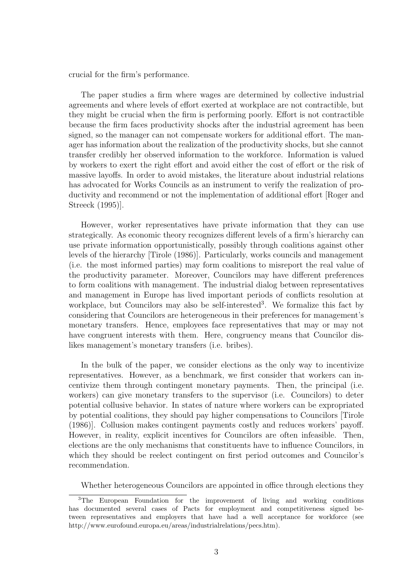crucial for the firm's performance.

The paper studies a firm where wages are determined by collective industrial agreements and where levels of effort exerted at workplace are not contractible, but they might be crucial when the firm is performing poorly. Effort is not contractible because the firm faces productivity shocks after the industrial agreement has been signed, so the manager can not compensate workers for additional effort. The manager has information about the realization of the productivity shocks, but she cannot transfer credibly her observed information to the workforce. Information is valued by workers to exert the right effort and avoid either the cost of effort or the risk of massive layoffs. In order to avoid mistakes, the literature about industrial relations has advocated for Works Councils as an instrument to verify the realization of productivity and recommend or not the implementation of additional effort [Roger and Streeck (1995)].

However, worker representatives have private information that they can use strategically. As economic theory recognizes different levels of a firm's hierarchy can use private information opportunistically, possibly through coalitions against other levels of the hierarchy [Tirole (1986)]. Particularly, works councils and management (i.e. the most informed parties) may form coalitions to misreport the real value of the productivity parameter. Moreover, Councilors may have different preferences to form coalitions with management. The industrial dialog between representatives and management in Europe has lived important periods of conflicts resolution at workplace, but Councilors may also be self-interested<sup>3</sup>. We formalize this fact by considering that Councilors are heterogeneous in their preferences for management's monetary transfers. Hence, employees face representatives that may or may not have congruent interests with them. Here, congruency means that Councilor dislikes management's monetary transfers (i.e. bribes).

In the bulk of the paper, we consider elections as the only way to incentivize representatives. However, as a benchmark, we first consider that workers can incentivize them through contingent monetary payments. Then, the principal (i.e. workers) can give monetary transfers to the supervisor (i.e. Councilors) to deter potential collusive behavior. In states of nature where workers can be expropriated by potential coalitions, they should pay higher compensations to Councilors [Tirole (1986)]. Collusion makes contingent payments costly and reduces workers' payoff. However, in reality, explicit incentives for Councilors are often infeasible. Then, elections are the only mechanisms that constituents have to influence Councilors, in which they should be reelect contingent on first period outcomes and Councilor's recommendation.

Whether heterogeneous Councilors are appointed in office through elections they

<sup>3</sup>The European Foundation for the improvement of living and working conditions has documented several cases of Pacts for employment and competitiveness signed between representatives and employers that have had a well acceptance for workforce (see http://www.eurofound.europa.eu/areas/industrialrelations/pecs.htm).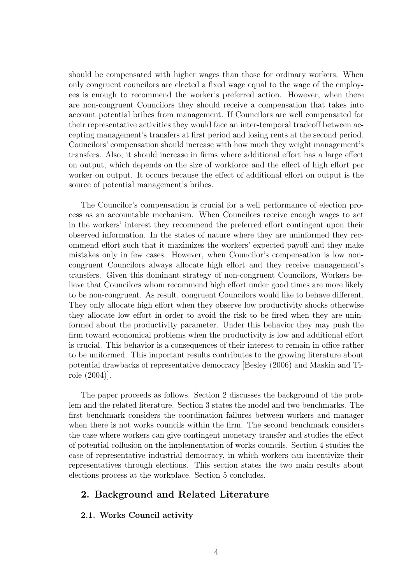should be compensated with higher wages than those for ordinary workers. When only congruent councilors are elected a fixed wage equal to the wage of the employees is enough to recommend the worker's preferred action. However, when there are non-congruent Councilors they should receive a compensation that takes into account potential bribes from management. If Councilors are well compensated for their representative activities they would face an inter-temporal tradeoff between accepting management's transfers at first period and losing rents at the second period. Councilors' compensation should increase with how much they weight management's transfers. Also, it should increase in firms where additional effort has a large effect on output, which depends on the size of workforce and the effect of high effort per worker on output. It occurs because the effect of additional effort on output is the source of potential management's bribes.

The Councilor's compensation is crucial for a well performance of election process as an accountable mechanism. When Councilors receive enough wages to act in the workers' interest they recommend the preferred effort contingent upon their observed information. In the states of nature where they are uninformed they recommend effort such that it maximizes the workers' expected payoff and they make mistakes only in few cases. However, when Councilor's compensation is low noncongruent Councilors always allocate high effort and they receive management's transfers. Given this dominant strategy of non-congruent Councilors, Workers believe that Councilors whom recommend high effort under good times are more likely to be non-congruent. As result, congruent Councilors would like to behave different. They only allocate high effort when they observe low productivity shocks otherwise they allocate low effort in order to avoid the risk to be fired when they are uninformed about the productivity parameter. Under this behavior they may push the firm toward economical problems when the productivity is low and additional effort is crucial. This behavior is a consequences of their interest to remain in office rather to be uniformed. This important results contributes to the growing literature about potential drawbacks of representative democracy [Besley (2006) and Maskin and Tirole (2004)].

The paper proceeds as follows. Section 2 discusses the background of the problem and the related literature. Section 3 states the model and two benchmarks. The first benchmark considers the coordination failures between workers and manager when there is not works councils within the firm. The second benchmark considers the case where workers can give contingent monetary transfer and studies the effect of potential collusion on the implementation of works councils. Section 4 studies the case of representative industrial democracy, in which workers can incentivize their representatives through elections. This section states the two main results about elections process at the workplace. Section 5 concludes.

## 2. Background and Related Literature

### 2.1. Works Council activity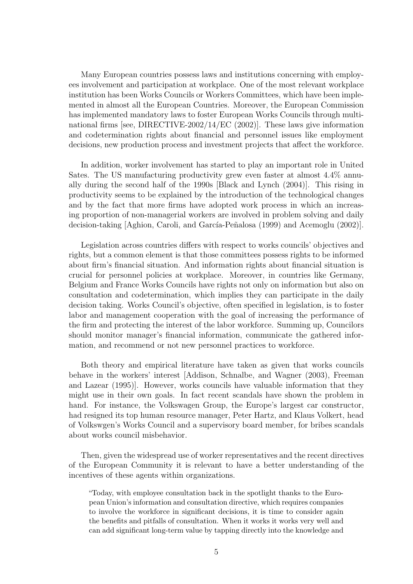Many European countries possess laws and institutions concerning with employees involvement and participation at workplace. One of the most relevant workplace institution has been Works Councils or Workers Committees, which have been implemented in almost all the European Countries. Moreover, the European Commission has implemented mandatory laws to foster European Works Councils through multinational firms [see, DIRECTIVE-2002/14/EC (2002)]. These laws give information and codetermination rights about financial and personnel issues like employment decisions, new production process and investment projects that affect the workforce.

In addition, worker involvement has started to play an important role in United Sates. The US manufacturing productivity grew even faster at almost 4.4% annually during the second half of the 1990s [Black and Lynch (2004)]. This rising in productivity seems to be explained by the introduction of the technological changes and by the fact that more firms have adopted work process in which an increasing proportion of non-managerial workers are involved in problem solving and daily decision-taking Aghion, Caroli, and García-Peñalosa (1999) and Acemoglu (2002).

Legislation across countries differs with respect to works councils' objectives and rights, but a common element is that those committees possess rights to be informed about firm's financial situation. And information rights about financial situation is crucial for personnel policies at workplace. Moreover, in countries like Germany, Belgium and France Works Councils have rights not only on information but also on consultation and codetermination, which implies they can participate in the daily decision taking. Works Council's objective, often specified in legislation, is to foster labor and management cooperation with the goal of increasing the performance of the firm and protecting the interest of the labor workforce. Summing up, Councilors should monitor manager's financial information, communicate the gathered information, and recommend or not new personnel practices to workforce.

Both theory and empirical literature have taken as given that works councils behave in the workers' interest [Addison, Schnalbe, and Wagner (2003), Freeman and Lazear (1995)]. However, works councils have valuable information that they might use in their own goals. In fact recent scandals have shown the problem in hand. For instance, the Volkswagen Group, the Europe's largest car constructor, had resigned its top human resource manager, Peter Hartz, and Klaus Volkert, head of Volkswgen's Works Council and a supervisory board member, for bribes scandals about works council misbehavior.

Then, given the widespread use of worker representatives and the recent directives of the European Community it is relevant to have a better understanding of the incentives of these agents within organizations.

"Today, with employee consultation back in the spotlight thanks to the European Union's information and consultation directive, which requires companies to involve the workforce in significant decisions, it is time to consider again the benefits and pitfalls of consultation. When it works it works very well and can add significant long-term value by tapping directly into the knowledge and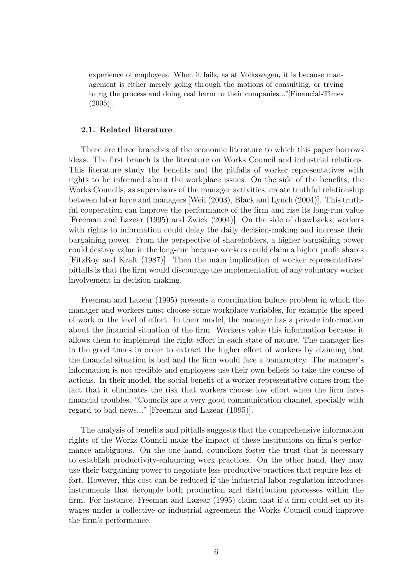experience of employees. When it fails, as at Volkswagen, it is because management is either merely going through the motions of consulting, or trying to rig the process and doing real harm to their companies..."[Financial-Times (2005)].

#### 2.1. Related literature

There are three branches of the economic literature to which this paper borrows ideas. The first branch is the literature on Works Council and industrial relations. This literature study the benefits and the pitfalls of worker representatives with rights to be informed about the workplace issues. On the side of the benefits, the Works Councils, as supervisors of the manager activities, create truthful relationship between labor force and managers [Weil (2003), Black and Lynch (2004)]. This truthful cooperation can improve the performance of the firm and rise its long-run value [Freeman and Lazear (1995) and Zwick (2004)]. On the side of drawbacks, workers with rights to information could delay the daily decision-making and increase their bargaining power. From the perspective of shareholders, a higher bargaining power could destroy value in the long-run because workers could claim a higher profit shares [FitzRoy and Kraft (1987)]. Then the main implication of worker representatives' pitfalls is that the firm would discourage the implementation of any voluntary worker involvement in decision-making.

Freeman and Lazear (1995) presents a coordination failure problem in which the manager and workers must choose some workplace variables, for example the speed of work or the level of effort. In their model, the manager has a private information about the financial situation of the firm. Workers value this information because it allows them to implement the right effort in each state of nature. The manager lies in the good times in order to extract the higher effort of workers by claiming that the financial situation is bad and the firm would face a bankruptcy. The manager's information is not credible and employees use their own beliefs to take the course of actions. In their model, the social benefit of a worker representative comes from the fact that it eliminates the risk that workers choose low effort when the firm faces financial troubles. "Councils are a very good communication channel, specially with regard to bad news..." [Freeman and Lazear (1995)].

The analysis of benefits and pitfalls suggests that the comprehensive information rights of the Works Council make the impact of these institutions on firm's performance ambiguous. On the one hand, councilors foster the trust that is necessary to establish productivity-enhancing work practices. On the other hand, they may use their bargaining power to negotiate less productive practices that require less effort. However, this cost can be reduced if the industrial labor regulation introduces instruments that decouple both production and distribution processes within the firm. For instance, Freeman and Lazear (1995) claim that if a firm could set up its wages under a collective or industrial agreement the Works Council could improve the firm's performance.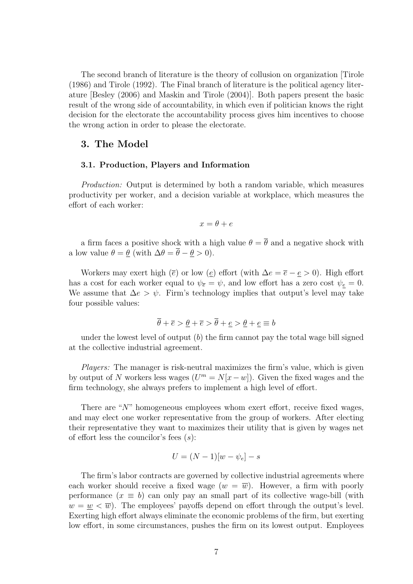The second branch of literature is the theory of collusion on organization [Tirole (1986) and Tirole (1992). The Final branch of literature is the political agency literature [Besley (2006) and Maskin and Tirole (2004)]. Both papers present the basic result of the wrong side of accountability, in which even if politician knows the right decision for the electorate the accountability process gives him incentives to choose the wrong action in order to please the electorate.

## 3. The Model

#### 3.1. Production, Players and Information

Production: Output is determined by both a random variable, which measures productivity per worker, and a decision variable at workplace, which measures the effort of each worker:

$$
x = \theta + e
$$

a firm faces a positive shock with a high value  $\theta = \overline{\theta}$  and a negative shock with a low value  $\theta = \underline{\theta}$  (with  $\Delta \theta = \overline{\theta} - \underline{\theta} > 0$ ).

Workers may exert high ( $\bar{e}$ ) or low ( $\underline{e}$ ) effort (with  $\Delta e = \bar{e} - \underline{e} > 0$ ). High effort has a cost for each worker equal to  $\psi_{\bar{e}} = \psi$ , and low effort has a zero cost  $\psi_{\underline{e}} = 0$ . We assume that  $\Delta e > \psi$ . Firm's technology implies that output's level may take four possible values:

$$
\theta + \overline{e} > \underline{\theta} + \overline{e} > \theta + \underline{e} > \underline{\theta} + \underline{e} \equiv b
$$

under the lowest level of output  $(b)$  the firm cannot pay the total wage bill signed at the collective industrial agreement.

Players: The manager is risk-neutral maximizes the firm's value, which is given by output of N workers less wages  $(U^m = N[x-w])$ . Given the fixed wages and the firm technology, she always prefers to implement a high level of effort.

There are "N" homogeneous employees whom exert effort, receive fixed wages, and may elect one worker representative from the group of workers. After electing their representative they want to maximizes their utility that is given by wages net of effort less the councilor's fees  $(s)$ :

$$
U = (N-1)[w - \psi_e] - s
$$

The firm's labor contracts are governed by collective industrial agreements where each worker should receive a fixed wage  $(w = \overline{w})$ . However, a firm with poorly performance  $(x \equiv b)$  can only pay an small part of its collective wage-bill (with  $w = \underline{w} < \overline{w}$ . The employees' payoffs depend on effort through the output's level. Exerting high effort always eliminate the economic problems of the firm, but exerting low effort, in some circumstances, pushes the firm on its lowest output. Employees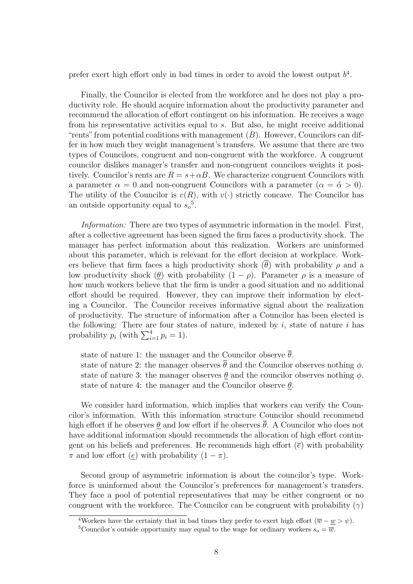prefer exert high effort only in bad times in order to avoid the lowest output  $b<sup>4</sup>$ .

Finally, the Councilor is elected from the workforce and he does not play a productivity role. He should acquire information about the productivity parameter and recommend the allocation of effort contingent on his information. He receives a wage from his representative activities equal to s. But also, he might receive additional "rents" from potential coalitions with management  $(B)$ . However, Councilors can differ in how much they weight management's transfers. We assume that there are two types of Councilors, congruent and non-congruent with the workforce. A congruent councilor dislikes manager's transfer and non-congruent councilors weights it positively. Councilor's rents are  $R = s + \alpha B$ . We characterize congruent Councilors with a parameter  $\alpha = 0$  and non-congruent Councilors with a parameter  $(\alpha = \tilde{\alpha} > 0)$ . The utility of the Councilor is  $v(R)$ , with  $v(\cdot)$  strictly concave. The Councilor has an outside opportunity equal to  $s_o^5$ .

Information: There are two types of asymmetric information in the model. First, after a collective agreement has been signed the firm faces a productivity shock. The manager has perfect information about this realization. Workers are uninformed about this parameter, which is relevant for the effort decision at workplace. Workers believe that firm faces a high productivity shock  $(\overline{\theta})$  with probability  $\rho$  and a low productivity shock  $(\underline{\theta})$  with probability  $(1 - \rho)$ . Parameter  $\rho$  is a measure of how much workers believe that the firm is under a good situation and no additional effort should be required. However, they can improve their information by electing a Councilor. The Councilor receives informative signal about the realization of productivity. The structure of information after a Councilor has been elected is the following: There are four states of nature, indexed by  $i$ , state of nature  $i$  has probability  $p_i$  (with  $\sum_{i=1}^4 p_i = 1$ ).

state of nature 1: the manager and the Councilor observe  $\bar{\theta}$ . state of nature 2: the manager observes  $\overline{\theta}$  and the Councilor observes nothing  $\phi$ . state of nature 3: the manager observes  $\theta$  and the councilor observes nothing  $\phi$ . state of nature 4: the manager and the Councilor observe  $\theta$ .

We consider hard information, which implies that workers can verify the Councilor's information. With this information structure Councilor should recommend high effort if he observes  $\theta$  and low effort if he observes  $\theta$ . A Councilor who does not have additional information should recommends the allocation of high effort contingent on his beliefs and preferences. He recommends high effort  $(\bar{e})$  with probability  $\pi$  and low effort (*e*) with probability  $(1 - \pi)$ .

Second group of asymmetric information is about the councilor's type. Workforce is uninformed about the Councilor's preferences for management's transfers. They face a pool of potential representatives that may be either congruent or no congruent with the workforce. The Councilor can be congruent with probability  $(\gamma)$ 

<sup>&</sup>lt;sup>4</sup>Workers have the certainty that in bad times they prefer to exert high effort  $(\overline{w} - \underline{w} > \psi)$ .

<sup>&</sup>lt;sup>5</sup>Councilor's outside opportunity may equal to the wage for ordinary workers  $s_o = \overline{w}$ .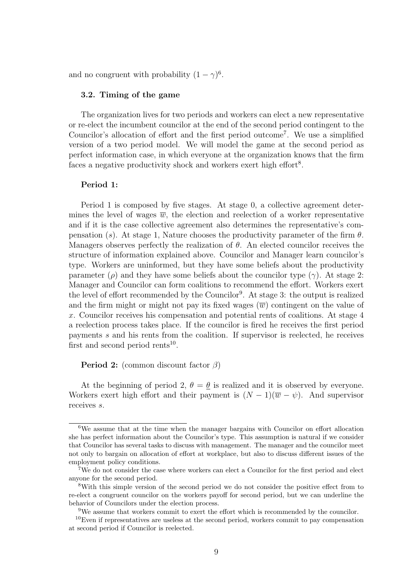and no congruent with probability  $(1 - \gamma)^6$ .

#### 3.2. Timing of the game

The organization lives for two periods and workers can elect a new representative or re-elect the incumbent councilor at the end of the second period contingent to the Councilor's allocation of effort and the first period outcome<sup>7</sup> . We use a simplified version of a two period model. We will model the game at the second period as perfect information case, in which everyone at the organization knows that the firm faces a negative productivity shock and workers exert high effort<sup>8</sup>.

#### Period 1:

Period 1 is composed by five stages. At stage 0, a collective agreement determines the level of wages  $\overline{w}$ , the election and reelection of a worker representative and if it is the case collective agreement also determines the representative's compensation (s). At stage 1, Nature chooses the productivity parameter of the firm  $\theta$ . Managers observes perfectly the realization of  $\theta$ . An elected councilor receives the structure of information explained above. Councilor and Manager learn councilor's type. Workers are uninformed, but they have some beliefs about the productivity parameter (ρ) and they have some beliefs about the councilor type ( $\gamma$ ). At stage 2: Manager and Councilor can form coalitions to recommend the effort. Workers exert the level of effort recommended by the Councilor<sup>9</sup>. At stage 3: the output is realized and the firm might or might not pay its fixed wages  $(\overline{w})$  contingent on the value of x. Councilor receives his compensation and potential rents of coalitions. At stage 4 a reelection process takes place. If the councilor is fired he receives the first period payments s and his rents from the coalition. If supervisor is reelected, he receives first and second period rents<sup>10</sup>.

#### **Period 2:** (common discount factor  $\beta$ )

At the beginning of period 2,  $\theta = \theta$  is realized and it is observed by everyone. Workers exert high effort and their payment is  $(N-1)(\overline{w}-\psi)$ . And supervisor receives s.

<sup>6</sup>We assume that at the time when the manager bargains with Councilor on effort allocation she has perfect information about the Councilor's type. This assumption is natural if we consider that Councilor has several tasks to discuss with management. The manager and the councilor meet not only to bargain on allocation of effort at workplace, but also to discuss different issues of the employment policy conditions.

<sup>7</sup>We do not consider the case where workers can elect a Councilor for the first period and elect anyone for the second period.

<sup>8</sup>With this simple version of the second period we do not consider the positive effect from to re-elect a congruent councilor on the workers payoff for second period, but we can underline the behavior of Councilors under the election process.

<sup>9</sup>We assume that workers commit to exert the effort which is recommended by the councilor.

 $10E$ ven if representatives are useless at the second period, workers commit to pay compensation at second period if Councilor is reelected.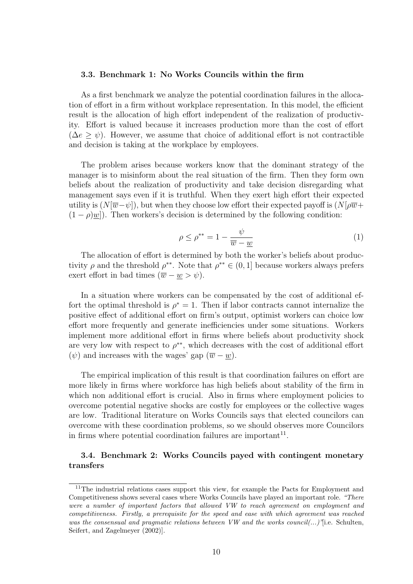#### 3.3. Benchmark 1: No Works Councils within the firm

As a first benchmark we analyze the potential coordination failures in the allocation of effort in a firm without workplace representation. In this model, the efficient result is the allocation of high effort independent of the realization of productivity. Effort is valued because it increases production more than the cost of effort  $(\Delta e \geq \psi)$ . However, we assume that choice of additional effort is not contractible and decision is taking at the workplace by employees.

The problem arises because workers know that the dominant strategy of the manager is to misinform about the real situation of the firm. Then they form own beliefs about the realization of productivity and take decision disregarding what management says even if it is truthful. When they exert high effort their expected utility is  $(N[\overline{w}-\psi])$ , but when they choose low effort their expected payoff is  $(N[\overline{w}-\psi])$  $(1 - \rho)$ w]). Then workers's decision is determined by the following condition:

$$
\rho \le \rho^{**} = 1 - \frac{\psi}{\overline{w} - \underline{w}} \tag{1}
$$

The allocation of effort is determined by both the worker's beliefs about productivity  $\rho$  and the threshold  $\rho^{**}$ . Note that  $\rho^{**} \in (0,1]$  because workers always prefers exert effort in bad times  $(\overline{w} - \underline{w} > \psi)$ .

In a situation where workers can be compensated by the cost of additional effort the optimal threshold is  $\rho^* = 1$ . Then if labor contracts cannot internalize the positive effect of additional effort on firm's output, optimist workers can choice low effort more frequently and generate inefficiencies under some situations. Workers implement more additional effort in firms where beliefs about productivity shock are very low with respect to  $\rho^{**}$ , which decreases with the cost of additional effort  $(\psi)$  and increases with the wages' gap  $(\overline{w} - w)$ .

The empirical implication of this result is that coordination failures on effort are more likely in firms where workforce has high beliefs about stability of the firm in which non additional effort is crucial. Also in firms where employment policies to overcome potential negative shocks are costly for employees or the collective wages are low. Traditional literature on Works Councils says that elected councilors can overcome with these coordination problems, so we should observes more Councilors in firms where potential coordination failures are important<sup>11</sup>.

## 3.4. Benchmark 2: Works Councils payed with contingent monetary transfers

<sup>11</sup>The industrial relations cases support this view, for example the Pacts for Employment and Competitiveness shows several cases where Works Councils have played an important role. "There were a number of important factors that allowed VW to reach agreement on employment and competitiveness. Firstly, a prerequisite for the speed and ease with which agreement was reached was the consensual and pragmatic relations between VW and the works council(...)<sup>'</sup>[i.e. Schulten, Seifert, and Zagelmeyer (2002)].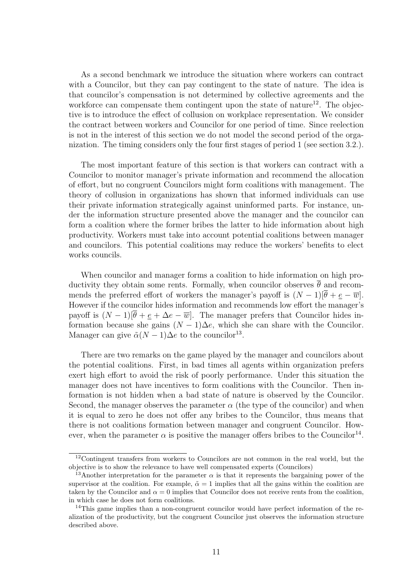As a second benchmark we introduce the situation where workers can contract with a Councilor, but they can pay contingent to the state of nature. The idea is that councilor's compensation is not determined by collective agreements and the workforce can compensate them contingent upon the state of nature<sup>12</sup>. The objective is to introduce the effect of collusion on workplace representation. We consider the contract between workers and Councilor for one period of time. Since reelection is not in the interest of this section we do not model the second period of the organization. The timing considers only the four first stages of period 1 (see section 3.2.).

The most important feature of this section is that workers can contract with a Councilor to monitor manager's private information and recommend the allocation of effort, but no congruent Councilors might form coalitions with management. The theory of collusion in organizations has shown that informed individuals can use their private information strategically against uninformed parts. For instance, under the information structure presented above the manager and the councilor can form a coalition where the former bribes the latter to hide information about high productivity. Workers must take into account potential coalitions between manager and councilors. This potential coalitions may reduce the workers' benefits to elect works councils.

When councilor and manager forms a coalition to hide information on high productivity they obtain some rents. Formally, when councilor observes  $\bar{\theta}$  and recommends the preferred effort of workers the manager's payoff is  $(N-1)[\theta + \epsilon - \overline{w}]$ . However if the councilor hides information and recommends low effort the manager's payoff is  $(N-1)[\overline{\theta} + \underline{e} + \Delta e - \overline{w}]$ . The manager prefers that Councilor hides information because she gains  $(N-1)\Delta e$ , which she can share with the Councilor. Manager can give  $\tilde{\alpha}(N-1)\Delta e$  to the councilor<sup>13</sup>.

There are two remarks on the game played by the manager and councilors about the potential coalitions. First, in bad times all agents within organization prefers exert high effort to avoid the risk of poorly performance. Under this situation the manager does not have incentives to form coalitions with the Councilor. Then information is not hidden when a bad state of nature is observed by the Councilor. Second, the manager observes the parameter  $\alpha$  (the type of the councilor) and when it is equal to zero he does not offer any bribes to the Councilor, thus means that there is not coalitions formation between manager and congruent Councilor. However, when the parameter  $\alpha$  is positive the manager offers bribes to the Councilor<sup>14</sup>.

<sup>&</sup>lt;sup>12</sup>Contingent transfers from workers to Councilors are not common in the real world, but the objective is to show the relevance to have well compensated experts (Councilors)

<sup>&</sup>lt;sup>13</sup>Another interpretation for the parameter  $\alpha$  is that it represents the bargaining power of the supervisor at the coalition. For example,  $\tilde{\alpha} = 1$  implies that all the gains within the coalition are taken by the Councilor and  $\alpha = 0$  implies that Councilor does not receive rents from the coalition, in which case he does not form coalitions.

<sup>&</sup>lt;sup>14</sup>This game implies than a non-congruent councilor would have perfect information of the realization of the productivity, but the congruent Councilor just observes the information structure described above.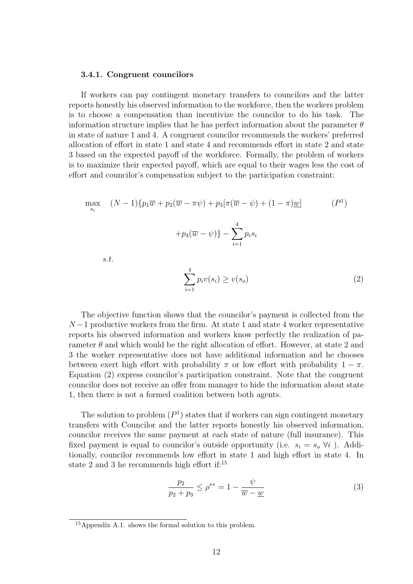#### 3.4.1. Congruent councilors

If workers can pay contingent monetary transfers to councilors and the latter reports honestly his observed information to the workforce, then the workers problem is to choose a compensation than incentivize the councilor to do his task. The information structure implies that he has perfect information about the parameter  $\theta$ in state of nature 1 and 4. A congruent councilor recommends the workers' preferred allocation of effort in state 1 and state 4 and recommends effort in state 2 and state 3 based on the expected payoff of the workforce. Formally, the problem of workers is to maximize their expected payoff, which are equal to their wages less the cost of effort and councilor's compensation subject to the participation constraint:

$$
\max_{s_i} \quad (N-1)\{p_1\overline{w} + p_2(\overline{w} - \pi\psi) + p_3[\pi(\overline{w} - \psi) + (1-\pi)\underline{w}] \tag{P1}
$$

$$
+p_4(\overline{w} - \psi)\} - \sum_{i=1}^4 p_i s_i
$$

s.t.

$$
\sum_{i=1}^{4} p_i v(s_i) \ge v(s_o)
$$
 (2)

The objective function shows that the councilor's payment is collected from the  $N-1$  productive workers from the firm. At state 1 and state 4 worker representative reports his observed information and workers know perfectly the realization of parameter  $\theta$  and which would be the right allocation of effort. However, at state 2 and 3 the worker representative does not have additional information and he chooses between exert high effort with probability  $\pi$  or low effort with probability  $1 - \pi$ . Equation (2) express councilor's participation constraint. Note that the congruent councilor does not receive an offer from manager to hide the information about state 1, then there is not a formed coalition between both agents.

The solution to problem  $(P<sup>1</sup>)$  states that if workers can sign contingent monetary transfers with Councilor and the latter reports honestly his observed information, councilor receives the same payment at each state of nature (full insurance). This fixed payment is equal to councilor's outside opportunity (i.e.  $s_i = s_o \forall i$ ). Additionally, councilor recommends low effort in state 1 and high effort in state 4. In state 2 and 3 he recommends high effort if:<sup>15</sup>

$$
\frac{p_2}{p_2 + p_3} \le \rho^{**} = 1 - \frac{\psi}{\overline{w} - \underline{w}} \tag{3}
$$

<sup>15</sup>Appendix A.1. shows the formal solution to this problem.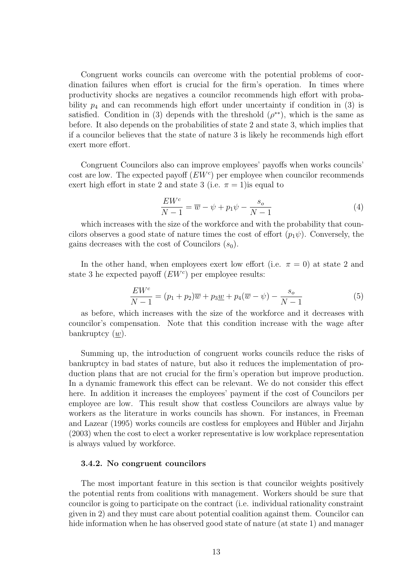Congruent works councils can overcome with the potential problems of coordination failures when effort is crucial for the firm's operation. In times where productivity shocks are negatives a councilor recommends high effort with probability  $p_4$  and can recommends high effort under uncertainty if condition in (3) is satisfied. Condition in (3) depends with the threshold  $(\rho^{**})$ , which is the same as before. It also depends on the probabilities of state 2 and state 3, which implies that if a councilor believes that the state of nature 3 is likely he recommends high effort exert more effort.

Congruent Councilors also can improve employees' payoffs when works councils' cost are low. The expected payoff  $(EW<sup>c</sup>)$  per employee when councilor recommends exert high effort in state 2 and state 3 (i.e.  $\pi = 1$ ) is equal to

$$
\frac{EW^c}{N-1} = \overline{w} - \psi + p_1 \psi - \frac{s_o}{N-1}
$$
\n<sup>(4)</sup>

which increases with the size of the workforce and with the probability that councilors observes a good state of nature times the cost of effort  $(p_1\psi)$ . Conversely, the gains decreases with the cost of Councilors  $(s_0)$ .

In the other hand, when employees exert low effort (i.e.  $\pi = 0$ ) at state 2 and state 3 he expected payoff  $(EW<sup>c</sup>)$  per employee results:

$$
\frac{EW^c}{N-1} = (p_1 + p_2)\overline{w} + p_3 \underline{w} + p_4(\overline{w} - \psi) - \frac{s_o}{N-1}
$$
 (5)

as before, which increases with the size of the workforce and it decreases with councilor's compensation. Note that this condition increase with the wage after bankruptcy  $(\underline{w})$ .

Summing up, the introduction of congruent works councils reduce the risks of bankruptcy in bad states of nature, but also it reduces the implementation of production plans that are not crucial for the firm's operation but improve production. In a dynamic framework this effect can be relevant. We do not consider this effect here. In addition it increases the employees' payment if the cost of Councilors per employee are low. This result show that costless Councilors are always value by workers as the literature in works councils has shown. For instances, in Freeman and Lazear (1995) works councils are costless for employees and Hubler and Jirjahn ¨ (2003) when the cost to elect a worker representative is low workplace representation is always valued by workforce.

#### 3.4.2. No congruent councilors

The most important feature in this section is that councilor weights positively the potential rents from coalitions with management. Workers should be sure that councilor is going to participate on the contract (i.e. individual rationality constraint given in 2) and they must care about potential coalition against them. Councilor can hide information when he has observed good state of nature (at state 1) and manager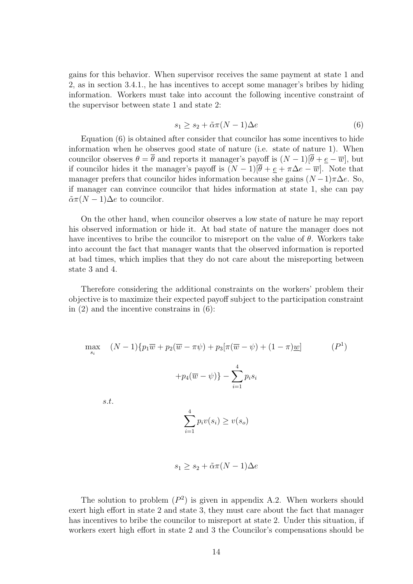gains for this behavior. When supervisor receives the same payment at state 1 and 2, as in section 3.4.1., he has incentives to accept some manager's bribes by hiding information. Workers must take into account the following incentive constraint of the supervisor between state 1 and state 2:

$$
s_1 \ge s_2 + \tilde{\alpha}\pi (N - 1)\Delta e \tag{6}
$$

Equation (6) is obtained after consider that councilor has some incentives to hide information when he observes good state of nature (i.e. state of nature 1). When councilor observes  $\theta = \overline{\theta}$  and reports it manager's payoff is  $(N-1)[\overline{\theta} + e - \overline{w}]$ , but if councilor hides it the manager's payoff is  $(N-1)[\overline{\theta} + \underline{e} + \pi \Delta e - \overline{w}]$ . Note that manager prefers that councilor hides information because she gains  $(N-1)\pi\Delta e$ . So, if manager can convince councilor that hides information at state 1, she can pay  $\tilde{\alpha}\pi(N-1)\Delta e$  to councilor.

On the other hand, when councilor observes a low state of nature he may report his observed information or hide it. At bad state of nature the manager does not have incentives to bribe the councilor to misreport on the value of  $\theta$ . Workers take into account the fact that manager wants that the observed information is reported at bad times, which implies that they do not care about the misreporting between state 3 and 4.

Therefore considering the additional constraints on the workers' problem their objective is to maximize their expected payoff subject to the participation constraint in (2) and the incentive constrains in (6):

$$
\max_{s_i} \quad (N-1)\{p_1\overline{w} + p_2(\overline{w} - \pi\psi) + p_3[\pi(\overline{w} - \psi) + (1-\pi)\underline{w}] \tag{P1}
$$

$$
+p_4(\overline{w} - \psi)\} - \sum_{i=1}^4 p_i s_i
$$
  
s.t.
$$
\sum_{i=1}^4 p_i v(s_i) \ge v(s_o)
$$

$$
s_1 \ge s_2 + \tilde{\alpha}\pi (N-1)\Delta e
$$

The solution to problem  $(P^2)$  is given in appendix A.2. When workers should exert high effort in state 2 and state 3, they must care about the fact that manager has incentives to bribe the councilor to misreport at state 2. Under this situation, if workers exert high effort in state 2 and 3 the Councilor's compensations should be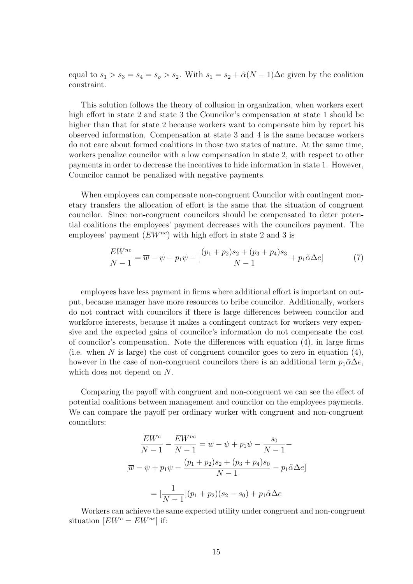equal to  $s_1 > s_3 = s_4 = s_0 > s_2$ . With  $s_1 = s_2 + \tilde{\alpha}(N-1)\Delta e$  given by the coalition constraint.

This solution follows the theory of collusion in organization, when workers exert high effort in state 2 and state 3 the Councilor's compensation at state 1 should be higher than that for state 2 because workers want to compensate him by report his observed information. Compensation at state 3 and 4 is the same because workers do not care about formed coalitions in those two states of nature. At the same time, workers penalize councilor with a low compensation in state 2, with respect to other payments in order to decrease the incentives to hide information in state 1. However, Councilor cannot be penalized with negative payments.

When employees can compensate non-congruent Councilor with contingent monetary transfers the allocation of effort is the same that the situation of congruent councilor. Since non-congruent councilors should be compensated to deter potential coalitions the employees' payment decreases with the councilors payment. The employees' payment  $(EW^{nc})$  with high effort in state 2 and 3 is

$$
\frac{EW^{nc}}{N-1} = \overline{w} - \psi + p_1 \psi - \left[ \frac{(p_1 + p_2)s_2 + (p_3 + p_4)s_3}{N-1} + p_1 \tilde{\alpha} \Delta e \right]
$$
(7)

employees have less payment in firms where additional effort is important on output, because manager have more resources to bribe councilor. Additionally, workers do not contract with councilors if there is large differences between councilor and workforce interests, because it makes a contingent contract for workers very expensive and the expected gains of councilor's information do not compensate the cost of councilor's compensation. Note the differences with equation (4), in large firms (i.e. when N is large) the cost of congruent councilor goes to zero in equation  $(4)$ , however in the case of non-congruent councilors there is an additional term  $p_1 \tilde{\alpha} \Delta e$ , which does not depend on N.

Comparing the payoff with congruent and non-congruent we can see the effect of potential coalitions between management and councilor on the employees payments. We can compare the payoff per ordinary worker with congruent and non-congruent councilors:

$$
\frac{EW^c}{N-1} - \frac{EW^{nc}}{N-1} = \overline{w} - \psi + p_1 \psi - \frac{s_0}{N-1} -
$$

$$
[\overline{w} - \psi + p_1 \psi - \frac{(p_1 + p_2)s_2 + (p_3 + p_4)s_0}{N-1} - p_1 \tilde{\alpha} \Delta e]
$$

$$
= [\frac{1}{N-1}](p_1 + p_2)(s_2 - s_0) + p_1 \tilde{\alpha} \Delta e
$$

Workers can achieve the same expected utility under congruent and non-congruent situation  $[EW^c = EW^{nc}]$  if: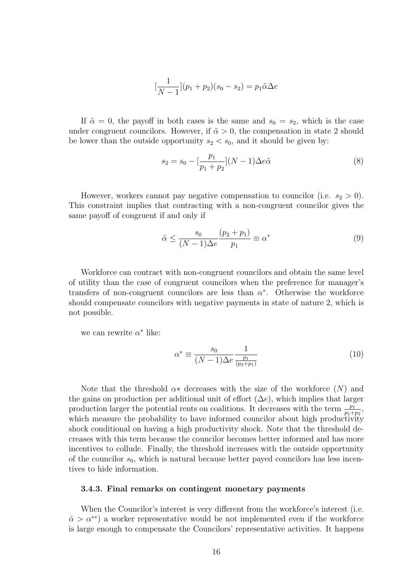$$
[\frac{1}{N-1}](p_1 + p_2)(s_0 - s_2) = p_1 \tilde{\alpha} \Delta e
$$

If  $\tilde{\alpha} = 0$ , the payoff in both cases is the same and  $s_0 = s_2$ , which is the case under congruent councilors. However, if  $\tilde{\alpha} > 0$ , the compensation in state 2 should be lower than the outside opportunity  $s_2 < s_0$ , and it should be given by:

$$
s_2 = s_0 - \left[\frac{p_1}{p_1 + p_2}\right](N - 1)\Delta e\tilde{\alpha}
$$
\n(8)

However, workers cannot pay negative compensation to councilor (i.e.  $s_2 > 0$ ). This constraint implies that contracting with a non-congruent councilor gives the same payoff of congruent if and only if

$$
\tilde{\alpha} \le \frac{s_0}{(N-1)\Delta e} \frac{(p_2 + p_1)}{p_1} \equiv \alpha^* \tag{9}
$$

Workforce can contract with non-congruent councilors and obtain the same level of utility than the case of congruent councilors when the preference for manager's transfers of non-congruent councilors are less than  $\alpha^*$ . Otherwise the workforce should compensate councilors with negative payments in state of nature 2, which is not possible.

we can rewrite  $\alpha^*$  like:

$$
\alpha^* \equiv \frac{s_0}{(N-1)\Delta e} \frac{1}{\frac{p_1}{(p_2 + p_1)}}
$$
(10)

Note that the threshold  $\alpha*$  decreases with the size of the workforce  $(N)$  and the gains on production per additional unit of effort  $(\Delta e)$ , which implies that larger production larger the potential rents on coalitions. It decreases with the term  $\frac{p_1}{p_1+p_2}$ , which measure the probability to have informed councilor about high productivity shock conditional on having a high productivity shock. Note that the threshold decreases with this term because the councilor becomes better informed and has more incentives to collude. Finally, the threshold increases with the outside opportunity of the councilor  $s_0$ , which is natural because better payed councilors has less incentives to hide information.

#### 3.4.3. Final remarks on contingent monetary payments

When the Councilor's interest is very different from the workforce's interest (i.e.  $\tilde{\alpha} > \alpha^{**}$ ) a worker representative would be not implemented even if the workforce is large enough to compensate the Councilors' representative activities. It happens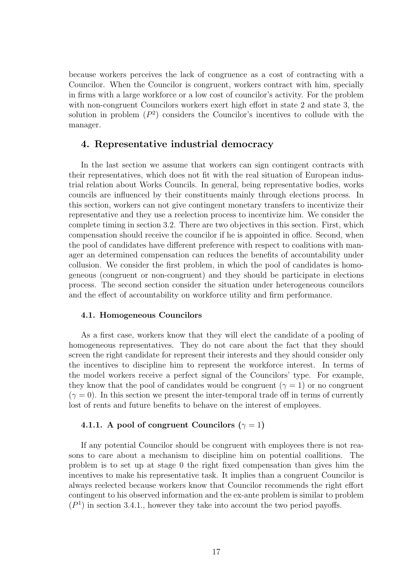because workers perceives the lack of congruence as a cost of contracting with a Councilor. When the Councilor is congruent, workers contract with him, specially in firms with a large workforce or a low cost of councilor's activity. For the problem with non-congruent Councilors workers exert high effort in state 2 and state 3, the solution in problem  $(P^2)$  considers the Councilor's incentives to collude with the manager.

## 4. Representative industrial democracy

In the last section we assume that workers can sign contingent contracts with their representatives, which does not fit with the real situation of European industrial relation about Works Councils. In general, being representative bodies, works councils are influenced by their constituents mainly through elections process. In this section, workers can not give contingent monetary transfers to incentivize their representative and they use a reelection process to incentivize him. We consider the complete timing in section 3.2. There are two objectives in this section. First, which compensation should receive the councilor if he is appointed in office. Second, when the pool of candidates have different preference with respect to coalitions with manager an determined compensation can reduces the benefits of accountability under collusion. We consider the first problem, in which the pool of candidates is homogeneous (congruent or non-congruent) and they should be participate in elections process. The second section consider the situation under heterogeneous councilors and the effect of accountability on workforce utility and firm performance.

#### 4.1. Homogeneous Councilors

As a first case, workers know that they will elect the candidate of a pooling of homogeneous representatives. They do not care about the fact that they should screen the right candidate for represent their interests and they should consider only the incentives to discipline him to represent the workforce interest. In terms of the model workers receive a perfect signal of the Councilors' type. For example, they know that the pool of candidates would be congruent ( $\gamma = 1$ ) or no congruent  $(\gamma = 0)$ . In this section we present the inter-temporal trade off in terms of currently lost of rents and future benefits to behave on the interest of employees.

#### 4.1.1. A pool of congruent Councilors ( $\gamma = 1$ )

If any potential Councilor should be congruent with employees there is not reasons to care about a mechanism to discipline him on potential coallitions. The problem is to set up at stage 0 the right fixed compensation than gives him the incentives to make his representative task. It implies than a congruent Councilor is always reelected because workers know that Councilor recommends the right effort contingent to his observed information and the ex-ante problem is similar to problem  $(P<sup>1</sup>)$  in section 3.4.1., however they take into account the two period payoffs.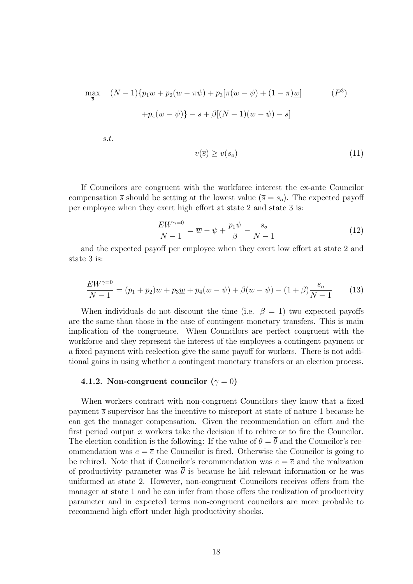$$
\max_{\overline{s}} \quad (N-1)\{p_1\overline{w} + p_2(\overline{w} - \pi\psi) + p_3[\pi(\overline{w} - \psi) + (1-\pi)\underline{w}] \tag{P}^3\}
$$
\n
$$
+p_4(\overline{w} - \psi)\} - \overline{s} + \beta[(N-1)(\overline{w} - \psi) - \overline{s}]
$$
\ns.t.

$$
v(\overline{s}) \ge v(s_o) \tag{11}
$$

If Councilors are congruent with the workforce interest the ex-ante Councilor compensation  $\bar{s}$  should be setting at the lowest value ( $\bar{s} = s_o$ ). The expected payoff per employee when they exert high effort at state 2 and state 3 is:

$$
\frac{EW^{\gamma=0}}{N-1} = \overline{w} - \psi + \frac{p_1 \psi}{\beta} - \frac{s_o}{N-1}
$$
\n<sup>(12)</sup>

and the expected payoff per employee when they exert low effort at state 2 and state 3 is:

$$
\frac{EW^{\gamma=0}}{N-1} = (p_1 + p_2)\overline{w} + p_3 \underline{w} + p_4(\overline{w} - \psi) + \beta(\overline{w} - \psi) - (1 + \beta)\frac{s_o}{N-1}
$$
(13)

When individuals do not discount the time (i.e.  $\beta = 1$ ) two expected payoffs are the same than those in the case of contingent monetary transfers. This is main implication of the congruence. When Councilors are perfect congruent with the workforce and they represent the interest of the employees a contingent payment or a fixed payment with reelection give the same payoff for workers. There is not additional gains in using whether a contingent monetary transfers or an election process.

#### 4.1.2. Non-congruent councilor ( $\gamma = 0$ )

When workers contract with non-congruent Councilors they know that a fixed payment  $\bar{s}$  supervisor has the incentive to misreport at state of nature 1 because he can get the manager compensation. Given the recommendation on effort and the first period output  $x$  workers take the decision if to rehire or to fire the Councilor. The election condition is the following: If the value of  $\theta = \theta$  and the Councilor's recommendation was  $e = \overline{e}$  the Councilor is fired. Otherwise the Councilor is going to be rehired. Note that if Councilor's recommendation was  $e = \overline{e}$  and the realization of productivity parameter was  $\bar{\theta}$  is because he hid relevant information or he was uniformed at state 2. However, non-congruent Councilors receives offers from the manager at state 1 and he can infer from those offers the realization of productivity parameter and in expected terms non-congruent councilors are more probable to recommend high effort under high productivity shocks.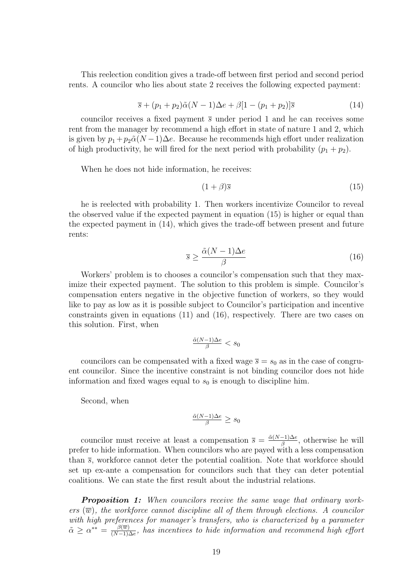This reelection condition gives a trade-off between first period and second period rents. A councilor who lies about state 2 receives the following expected payment:

$$
\overline{s} + (p_1 + p_2)\tilde{\alpha}(N - 1)\Delta e + \beta[1 - (p_1 + p_2)]\overline{s}
$$
\n(14)

councilor receives a fixed payment  $\bar{s}$  under period 1 and he can receives some rent from the manager by recommend a high effort in state of nature 1 and 2, which is given by  $p_1 + p_2 \tilde{\alpha}(N-1)\Delta e$ . Because he recommends high effort under realization of high productivity, he will fired for the next period with probability  $(p_1 + p_2)$ .

When he does not hide information, he receives:

$$
(1+\beta)\overline{s} \tag{15}
$$

he is reelected with probability 1. Then workers incentivize Councilor to reveal the observed value if the expected payment in equation (15) is higher or equal than the expected payment in (14), which gives the trade-off between present and future rents:

$$
\overline{s} \ge \frac{\tilde{\alpha}(N-1)\Delta e}{\beta} \tag{16}
$$

Workers' problem is to chooses a councilor's compensation such that they maximize their expected payment. The solution to this problem is simple. Councilor's compensation enters negative in the objective function of workers, so they would like to pay as low as it is possible subject to Councilor's participation and incentive constraints given in equations (11) and (16), respectively. There are two cases on this solution. First, when

$$
\frac{\tilde{\alpha}(N-1)\Delta e}{\beta} < s_0
$$

councilors can be compensated with a fixed wage  $\bar{s} = s_0$  as in the case of congruent councilor. Since the incentive constraint is not binding councilor does not hide information and fixed wages equal to  $s_0$  is enough to discipline him.

Second, when

$$
\frac{\tilde{\alpha}(N-1)\Delta e}{\beta} \ge s_0
$$

councilor must receive at least a compensation  $\bar{s} = \frac{\tilde{\alpha}(N-1)\Delta e}{\beta}$  $\frac{-1}{\beta}$ , otherwise he will prefer to hide information. When councilors who are payed with a less compensation than  $\bar{s}$ , workforce cannot deter the potential coalition. Note that workforce should set up ex-ante a compensation for councilors such that they can deter potential coalitions. We can state the first result about the industrial relations.

**Proposition 1:** When councilors receive the same wage that ordinary workers  $(\overline{w})$ , the workforce cannot discipline all of them through elections. A councilor with high preferences for manager's transfers, who is characterized by a parameter  $\tilde{\alpha} \geq \alpha^{**} = \frac{\beta(\overline{w})}{(N-1)}$  $\frac{\beta(w)}{(N-1)\Delta e}$ , has incentives to hide information and recommend high effort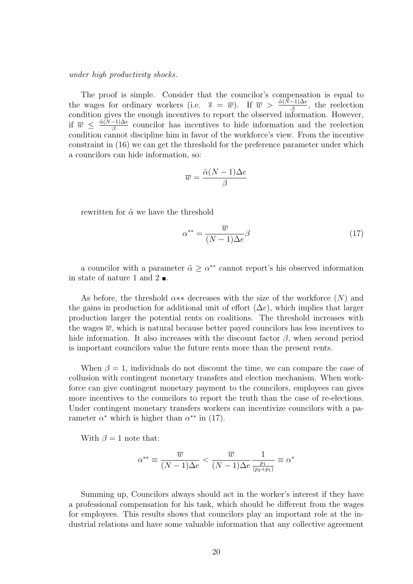#### under high productivity shocks.

The proof is simple. Consider that the councilor's compensation is equal to the wages for ordinary workers (i.e.  $\bar{s} = \bar{w}$ ). If  $\bar{w} > \frac{\tilde{\alpha}(N-1)\Delta e}{\beta}$ , the reelection condition gives the enough incentives to report the observed information. However, if  $\overline{w} \leq \frac{\tilde{\alpha}(N-1)\Delta e}{\beta}$  $\frac{(-1)}{\beta}$  councilor has incentives to hide information and the reelection condition cannot discipline him in favor of the workforce's view. From the incentive constraint in (16) we can get the threshold for the preference parameter under which a councilors can hide information, so:

$$
\overline{w} = \frac{\tilde{\alpha}(N-1)\Delta e}{\beta}
$$

rewritten for  $\tilde{\alpha}$  we have the threshold

$$
\alpha^{**} = \frac{\overline{w}}{(N-1)\Delta e} \beta \tag{17}
$$

a councilor with a parameter  $\tilde{\alpha} \geq \alpha^{**}$  cannot report's his observed information in state of nature 1 and 2  $\blacksquare$ .

As before, the threshold  $\alpha**$  decreases with the size of the workforce  $(N)$  and the gains in production for additional unit of effort  $(\Delta e)$ , which implies that larger production larger the potential rents on coalitions. The threshold increases with the wages  $\overline{w}$ , which is natural because better payed councilors has less incentives to hide information. It also increases with the discount factor  $\beta$ , when second period is important councilors value the future rents more than the present rents.

When  $\beta = 1$ , individuals do not discount the time, we can compare the case of collusion with contingent monetary transfers and election mechanism. When workforce can give contingent monetary payment to the councilors, employees can gives more incentives to the councilors to report the truth than the case of re-elections. Under contingent monetary transfers workers can incentivize councilors with a parameter  $\alpha^*$  which is higher than  $\alpha^{**}$  in (17).

With  $\beta = 1$  note that:

$$
\alpha^{**} \equiv \frac{\overline{w}}{(N-1)\Delta e} < \frac{\overline{w}}{(N-1)\Delta e} \frac{1}{\frac{p_1}{(p_2+p_1)}} \equiv \alpha^*
$$

Summing up, Councilors always should act in the worker's interest if they have a professional compensation for his task, which should be different from the wages for employees. This results shows that councilors play an important role at the industrial relations and have some valuable information that any collective agreement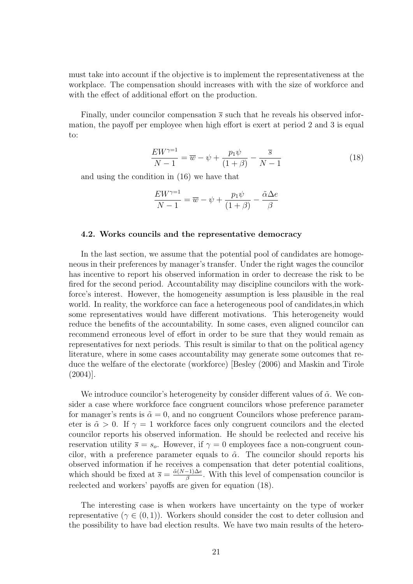must take into account if the objective is to implement the representativeness at the workplace. The compensation should increases with with the size of workforce and with the effect of additional effort on the production.

Finally, under councilor compensation  $\bar{s}$  such that he reveals his observed information, the payoff per employee when high effort is exert at period 2 and 3 is equal to:

$$
\frac{EW^{\gamma=1}}{N-1} = \overline{w} - \psi + \frac{p_1 \psi}{(1+\beta)} - \frac{\overline{s}}{N-1}
$$
 (18)

and using the condition in (16) we have that

$$
\frac{EW^{\gamma=1}}{N-1} = \overline{w} - \psi + \frac{p_1\psi}{(1+\beta)} - \frac{\tilde{\alpha}\Delta e}{\beta}
$$

#### 4.2. Works councils and the representative democracy

In the last section, we assume that the potential pool of candidates are homogeneous in their preferences by manager's transfer. Under the right wages the councilor has incentive to report his observed information in order to decrease the risk to be fired for the second period. Accountability may discipline councilors with the workforce's interest. However, the homogeneity assumption is less plausible in the real world. In reality, the workforce can face a heterogeneous pool of candidates,in which some representatives would have different motivations. This heterogeneity would reduce the benefits of the accountability. In some cases, even aligned councilor can recommend erroneous level of effort in order to be sure that they would remain as representatives for next periods. This result is similar to that on the political agency literature, where in some cases accountability may generate some outcomes that reduce the welfare of the electorate (workforce) [Besley (2006) and Maskin and Tirole  $(2004)$ .

We introduce councilor's heterogeneity by consider different values of  $\tilde{\alpha}$ . We consider a case where workforce face congruent councilors whose preference parameter for manager's rents is  $\tilde{\alpha} = 0$ , and no congruent Councilors whose preference parameter is  $\tilde{\alpha} > 0$ . If  $\gamma = 1$  workforce faces only congruent councilors and the elected councilor reports his observed information. He should be reelected and receive his reservation utility  $\bar{s} = s_o$ . However, if  $\gamma = 0$  employees face a non-congruent councilor, with a preference parameter equals to  $\tilde{\alpha}$ . The councilor should reports his observed information if he receives a compensation that deter potential coalitions, which should be fixed at  $\overline{s} = \frac{\tilde{\alpha}(N-1)\Delta e}{\beta}$  $\frac{-1}{\beta}$ . With this level of compensation councilor is reelected and workers' payoffs are given for equation (18).

The interesting case is when workers have uncertainty on the type of worker representative  $(\gamma \in (0,1))$ . Workers should consider the cost to deter collusion and the possibility to have bad election results. We have two main results of the hetero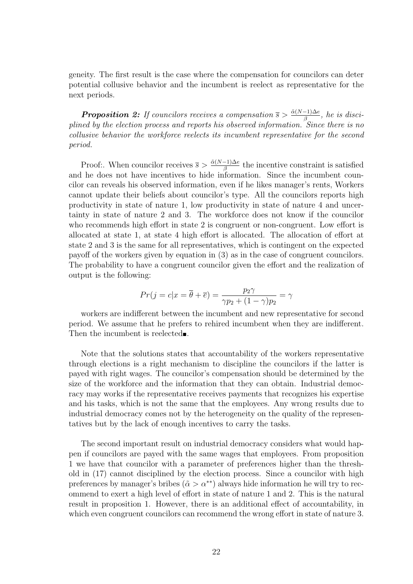geneity. The first result is the case where the compensation for councilors can deter potential collusive behavior and the incumbent is reelect as representative for the next periods.

**Proposition 2:** If councilors receives a compensation  $\bar{s} > \frac{\tilde{\alpha}(N-1)\Delta e}{\beta}$ , he is disciplined by the election process and reports his observed information. Since there is no collusive behavior the workforce reelects its incumbent representative for the second period.

Proof:. When councilor receives  $\bar{s} > \frac{\tilde{\alpha}(N-1)\Delta e}{\beta}$  the incentive constraint is satisfied and he does not have incentives to hide information. Since the incumbent councilor can reveals his observed information, even if he likes manager's rents, Workers cannot update their beliefs about councilor's type. All the councilors reports high productivity in state of nature 1, low productivity in state of nature 4 and uncertainty in state of nature 2 and 3. The workforce does not know if the councilor who recommends high effort in state 2 is congruent or non-congruent. Low effort is allocated at state 1, at state 4 high effort is allocated. The allocation of effort at state 2 and 3 is the same for all representatives, which is contingent on the expected payoff of the workers given by equation in (3) as in the case of congruent councilors. The probability to have a congruent councilor given the effort and the realization of output is the following:

$$
Pr(j = c | x = \overline{\theta} + \overline{e}) = \frac{p_2 \gamma}{\gamma p_2 + (1 - \gamma)p_2} = \gamma
$$

workers are indifferent between the incumbent and new representative for second period. We assume that he prefers to rehired incumbent when they are indifferent. Then the incumbent is reelected.

Note that the solutions states that accountability of the workers representative through elections is a right mechanism to discipline the councilors if the latter is payed with right wages. The councilor's compensation should be determined by the size of the workforce and the information that they can obtain. Industrial democracy may works if the representative receives payments that recognizes his expertise and his tasks, which is not the same that the employees. Any wrong results due to industrial democracy comes not by the heterogeneity on the quality of the representatives but by the lack of enough incentives to carry the tasks.

The second important result on industrial democracy considers what would happen if councilors are payed with the same wages that employees. From proposition 1 we have that councilor with a parameter of preferences higher than the threshold in (17) cannot disciplined by the election process. Since a councilor with high preferences by manager's bribes ( $\tilde{\alpha} > \alpha^{**}$ ) always hide information he will try to recommend to exert a high level of effort in state of nature 1 and 2. This is the natural result in proposition 1. However, there is an additional effect of accountability, in which even congruent councilors can recommend the wrong effort in state of nature 3.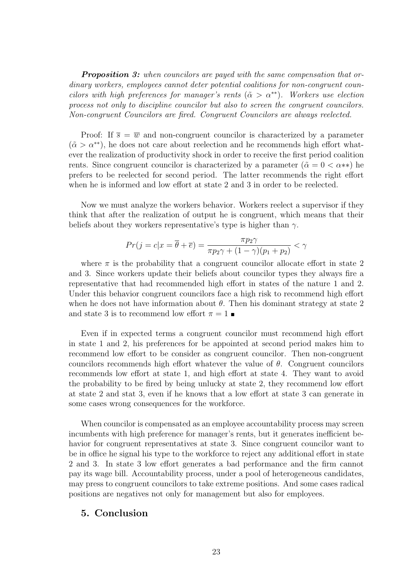**Proposition 3:** when councilors are payed with the same compensation that ordinary workers, employees cannot deter potential coalitions for non-congruent councilors with high preferences for manager's rents ( $\tilde{\alpha} > \alpha^{**}$ ). Workers use election process not only to discipline councilor but also to screen the congruent councilors. Non-congruent Councilors are fired. Congruent Councilors are always reelected.

Proof: If  $\overline{s} = \overline{w}$  and non-congruent councilor is characterized by a parameter  $(\tilde{\alpha} > \alpha^{**})$ , he does not care about reelection and he recommends high effort whatever the realization of productivity shock in order to receive the first period coalition rents. Since congruent councilor is characterized by a parameter ( $\tilde{\alpha} = 0 < \alpha^{**}$ ) he prefers to be reelected for second period. The latter recommends the right effort when he is informed and low effort at state 2 and 3 in order to be reelected.

Now we must analyze the workers behavior. Workers reelect a supervisor if they think that after the realization of output he is congruent, which means that their beliefs about they workers representative's type is higher than  $\gamma$ .

$$
Pr(j = c | x = \overline{\theta} + \overline{e}) = \frac{\pi p_2 \gamma}{\pi p_2 \gamma + (1 - \gamma)(p_1 + p_2)} < \gamma
$$

where  $\pi$  is the probability that a congruent councilor allocate effort in state 2 and 3. Since workers update their beliefs about councilor types they always fire a representative that had recommended high effort in states of the nature 1 and 2. Under this behavior congruent councilors face a high risk to recommend high effort when he does not have information about  $\theta$ . Then his dominant strategy at state 2 and state 3 is to recommend low effort  $\pi = 1$ 

Even if in expected terms a congruent councilor must recommend high effort in state 1 and 2, his preferences for be appointed at second period makes him to recommend low effort to be consider as congruent councilor. Then non-congruent councilors recommends high effort whatever the value of  $\theta$ . Congruent councilors recommends low effort at state 1, and high effort at state 4. They want to avoid the probability to be fired by being unlucky at state 2, they recommend low effort at state 2 and stat 3, even if he knows that a low effort at state 3 can generate in some cases wrong consequences for the workforce.

When councilor is compensated as an employee accountability process may screen incumbents with high preference for manager's rents, but it generates inefficient behavior for congruent representatives at state 3. Since congruent councilor want to be in office he signal his type to the workforce to reject any additional effort in state 2 and 3. In state 3 low effort generates a bad performance and the firm cannot pay its wage bill. Accountability process, under a pool of heterogeneous candidates, may press to congruent councilors to take extreme positions. And some cases radical positions are negatives not only for management but also for employees.

## 5. Conclusion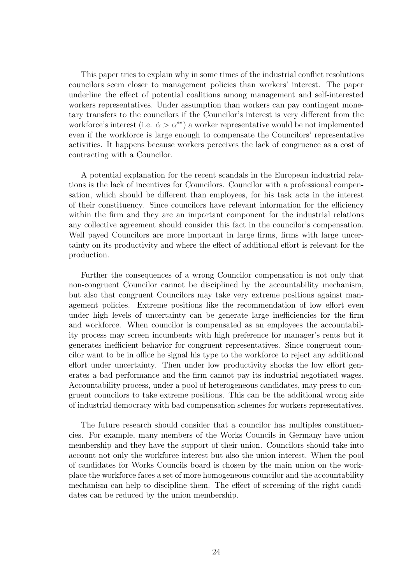This paper tries to explain why in some times of the industrial conflict resolutions councilors seem closer to management policies than workers' interest. The paper underline the effect of potential coalitions among management and self-interested workers representatives. Under assumption than workers can pay contingent monetary transfers to the councilors if the Councilor's interest is very different from the workforce's interest (i.e.  $\tilde{\alpha} > \alpha^{**}$ ) a worker representative would be not implemented even if the workforce is large enough to compensate the Councilors' representative activities. It happens because workers perceives the lack of congruence as a cost of contracting with a Councilor.

A potential explanation for the recent scandals in the European industrial relations is the lack of incentives for Councilors. Councilor with a professional compensation, which should be different than employees, for his task acts in the interest of their constituency. Since councilors have relevant information for the efficiency within the firm and they are an important component for the industrial relations any collective agreement should consider this fact in the councilor's compensation. Well payed Councilors are more important in large firms, firms with large uncertainty on its productivity and where the effect of additional effort is relevant for the production.

Further the consequences of a wrong Councilor compensation is not only that non-congruent Councilor cannot be disciplined by the accountability mechanism, but also that congruent Councilors may take very extreme positions against management policies. Extreme positions like the recommendation of low effort even under high levels of uncertainty can be generate large inefficiencies for the firm and workforce. When councilor is compensated as an employees the accountability process may screen incumbents with high preference for manager's rents but it generates inefficient behavior for congruent representatives. Since congruent councilor want to be in office he signal his type to the workforce to reject any additional effort under uncertainty. Then under low productivity shocks the low effort generates a bad performance and the firm cannot pay its industrial negotiated wages. Accountability process, under a pool of heterogeneous candidates, may press to congruent councilors to take extreme positions. This can be the additional wrong side of industrial democracy with bad compensation schemes for workers representatives.

The future research should consider that a councilor has multiples constituencies. For example, many members of the Works Councils in Germany have union membership and they have the support of their union. Councilors should take into account not only the workforce interest but also the union interest. When the pool of candidates for Works Councils board is chosen by the main union on the workplace the workforce faces a set of more homogeneous councilor and the accountability mechanism can help to discipline them. The effect of screening of the right candidates can be reduced by the union membership.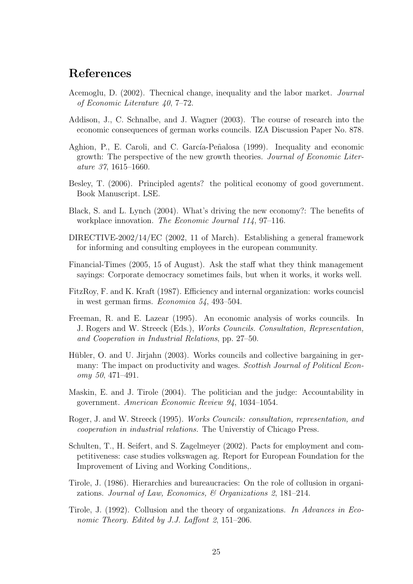# References

- Acemoglu, D. (2002). Thecnical change, inequality and the labor market. Journal of Economic Literature 40, 7–72.
- Addison, J., C. Schnalbe, and J. Wagner (2003). The course of research into the economic consequences of german works councils. IZA Discussion Paper No. 878.
- Aghion, P., E. Caroli, and C. García-Peñalosa (1999). Inequality and economic growth: The perspective of the new growth theories. Journal of Economic Literature 37, 1615–1660.
- Besley, T. (2006). Principled agents? the political economy of good government. Book Manuscript. LSE.
- Black, S. and L. Lynch (2004). What's driving the new economy?: The benefits of workplace innovation. The Economic Journal 114, 97–116.
- DIRECTIVE-2002/14/EC (2002, 11 of March). Establishing a general framework for informing and consulting employees in the european community.
- Financial-Times (2005, 15 of August). Ask the staff what they think management sayings: Corporate democracy sometimes fails, but when it works, it works well.
- FitzRoy, F. and K. Kraft (1987). Efficiency and internal organization: works councisl in west german firms. Economica 54, 493–504.
- Freeman, R. and E. Lazear (1995). An economic analysis of works councils. In J. Rogers and W. Streeck (Eds.), Works Councils. Consultation, Representation, and Cooperation in Industrial Relations, pp. 27–50.
- Hübler, O. and U. Jirjahn (2003). Works councils and collective bargaining in germany: The impact on productivity and wages. Scottish Journal of Political Economy 50, 471–491.
- Maskin, E. and J. Tirole (2004). The politician and the judge: Accountability in government. American Economic Review 94, 1034–1054.
- Roger, J. and W. Streeck (1995). Works Councils: consultation, representation, and cooperation in industrial relations. The Universtiy of Chicago Press.
- Schulten, T., H. Seifert, and S. Zagelmeyer (2002). Pacts for employment and competitiveness: case studies volkswagen ag. Report for European Foundation for the Improvement of Living and Working Conditions,.
- Tirole, J. (1986). Hierarchies and bureaucracies: On the role of collusion in organizations. Journal of Law, Economics, & Organizations 2, 181–214.
- Tirole, J. (1992). Collusion and the theory of organizations. In Advances in Economic Theory. Edited by J.J. Laffont 2, 151–206.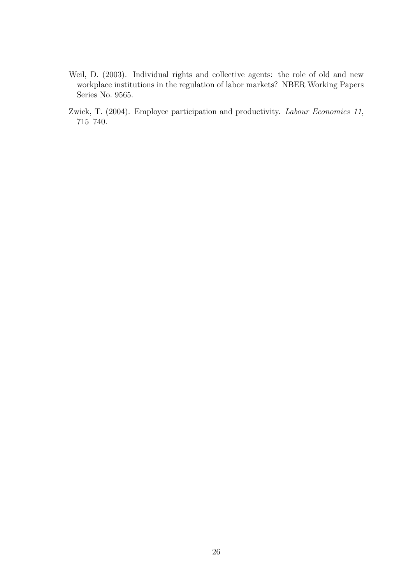- Weil, D. (2003). Individual rights and collective agents: the role of old and new workplace institutions in the regulation of labor markets? NBER Working Papers Series No. 9565.
- Zwick, T. (2004). Employee participation and productivity. Labour Economics 11, 715–740.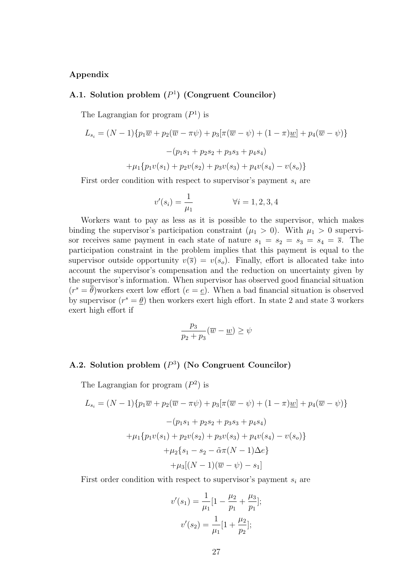## Appendix

## A.1. Solution problem  $(P<sup>1</sup>)$  (Congruent Councilor)

The Lagrangian for program  $(P<sup>1</sup>)$  is

$$
L_{s_i} = (N-1)\{p_1\overline{w} + p_2(\overline{w} - \pi\psi) + p_3[\pi(\overline{w} - \psi) + (1-\pi)\underline{w}] + p_4(\overline{w} - \psi)\}
$$

$$
-(p_1s_1 + p_2s_2 + p_3s_3 + p_4s_4)
$$

$$
+ \mu_1\{p_1v(s_1) + p_2v(s_2) + p_3v(s_3) + p_4v(s_4) - v(s_0)\}
$$

First order condition with respect to supervisor's payment  $s_i$  are

$$
v'(s_i) = \frac{1}{\mu_1} \qquad \forall i = 1, 2, 3, 4
$$

Workers want to pay as less as it is possible to the supervisor, which makes binding the supervisor's participation constraint  $(\mu_1 > 0)$ . With  $\mu_1 > 0$  supervisor receives same payment in each state of nature  $s_1 = s_2 = s_3 = s_4 = \overline{s}$ . The participation constraint in the problem implies that this payment is equal to the supervisor outside opportunity  $v(\overline{s}) = v(s_o)$ . Finally, effort is allocated take into account the supervisor's compensation and the reduction on uncertainty given by the supervisor's information. When supervisor has observed good financial situation  $(r^s = \overline{\theta})$ workers exert low effort  $(e = \underline{e})$ . When a bad financial situation is observed by supervisor  $(r^s = \underline{\theta})$  then workers exert high effort. In state 2 and state 3 workers exert high effort if

$$
\frac{p_3}{p_2+p_3}(\overline{w}-\underline{w}) \ge \psi
$$

## A.2. Solution problem  $(P^3)$  (No Congruent Councilor)

The Lagrangian for program  $(P^2)$  is

$$
L_{s_i} = (N-1)\{p_1\overline{w} + p_2(\overline{w} - \pi\psi) + p_3[\pi(\overline{w} - \psi) + (1 - \pi)\underline{w}] + p_4(\overline{w} - \psi)\}
$$

$$
-(p_1s_1 + p_2s_2 + p_3s_3 + p_4s_4)
$$

$$
+ \mu_1\{p_1v(s_1) + p_2v(s_2) + p_3v(s_3) + p_4v(s_4) - v(s_0)\}
$$

$$
+ \mu_2\{s_1 - s_2 - \tilde{\alpha}\pi(N-1)\Delta e\}
$$

$$
+ \mu_3[(N-1)(\overline{w} - \psi) - s_1]
$$

First order condition with respect to supervisor's payment  $s_i$  are

$$
v'(s_1) = \frac{1}{\mu_1} \left[ 1 - \frac{\mu_2}{p_1} + \frac{\mu_3}{p_1} \right]
$$

$$
v'(s_2) = \frac{1}{\mu_1} \left[ 1 + \frac{\mu_2}{p_2} \right];
$$

];